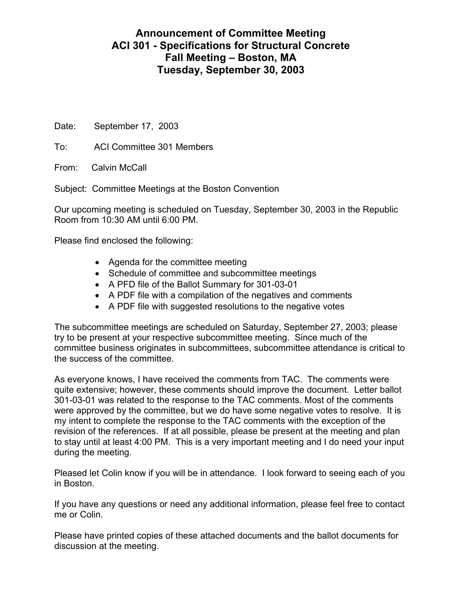## **Announcement of Committee Meeting ACI 301 - Specifications for Structural Concrete Fall Meeting – Boston, MA Tuesday, September 30, 2003**

Date: September 17, 2003

To: ACI Committee 301 Members

From: Calvin McCall

Subject: Committee Meetings at the Boston Convention

Our upcoming meeting is scheduled on Tuesday, September 30, 2003 in the Republic Room from 10:30 AM until 6:00 PM.

Please find enclosed the following:

- Agenda for the committee meeting
- Schedule of committee and subcommittee meetings
- A PFD file of the Ballot Summary for 301-03-01
- A PDF file with a compilation of the negatives and comments
- A PDF file with suggested resolutions to the negative votes

The subcommittee meetings are scheduled on Saturday, September 27, 2003; please try to be present at your respective subcommittee meeting. Since much of the committee business originates in subcommittees, subcommittee attendance is critical to the success of the committee.

As everyone knows, I have received the comments from TAC. The comments were quite extensive; however, these comments should improve the document. Letter ballot 301-03-01 was related to the response to the TAC comments. Most of the comments were approved by the committee, but we do have some negative votes to resolve. It is my intent to complete the response to the TAC comments with the exception of the revision of the references. If at all possible, please be present at the meeting and plan to stay until at least 4:00 PM. This is a very important meeting and I do need your input during the meeting.

Pleased let Colin know if you will be in attendance. I look forward to seeing each of you in Boston.

If you have any questions or need any additional information, please feel free to contact me or Colin.

Please have printed copies of these attached documents and the ballot documents for discussion at the meeting.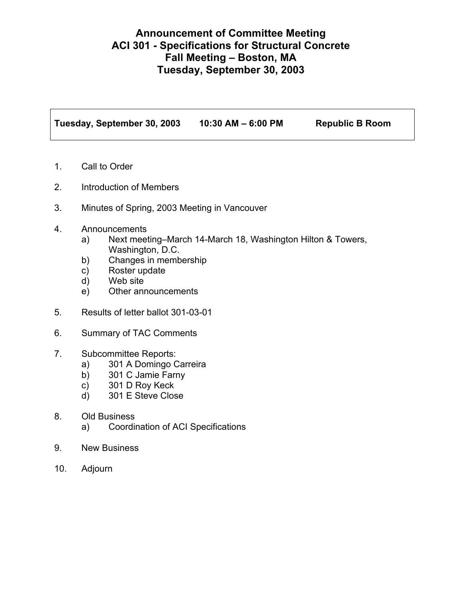## **Announcement of Committee Meeting ACI 301 - Specifications for Structural Concrete Fall Meeting – Boston, MA Tuesday, September 30, 2003**

**Tuesday, September 30, 2003 10:30 AM – 6:00 PM Republic B Room** 

- 1. Call to Order
- 2. Introduction of Members
- 3. Minutes of Spring, 2003 Meeting in Vancouver
- 4. Announcements
	- a) Next meeting–March 14-March 18, Washington Hilton & Towers, Washington, D.C.
	- b) Changes in membership
	- c) Roster update
	- d) Web site
	- e) Other announcements
- 5. Results of letter ballot 301-03-01
- 6. Summary of TAC Comments
- 7. Subcommittee Reports:
	- a) 301 A Domingo Carreira
	- b) 301 C Jamie Farny
	- c) 301 D Roy Keck
	- d) 301 E Steve Close
- 8. Old Business
	- a) Coordination of ACI Specifications
- 9. New Business
- 10. Adjourn